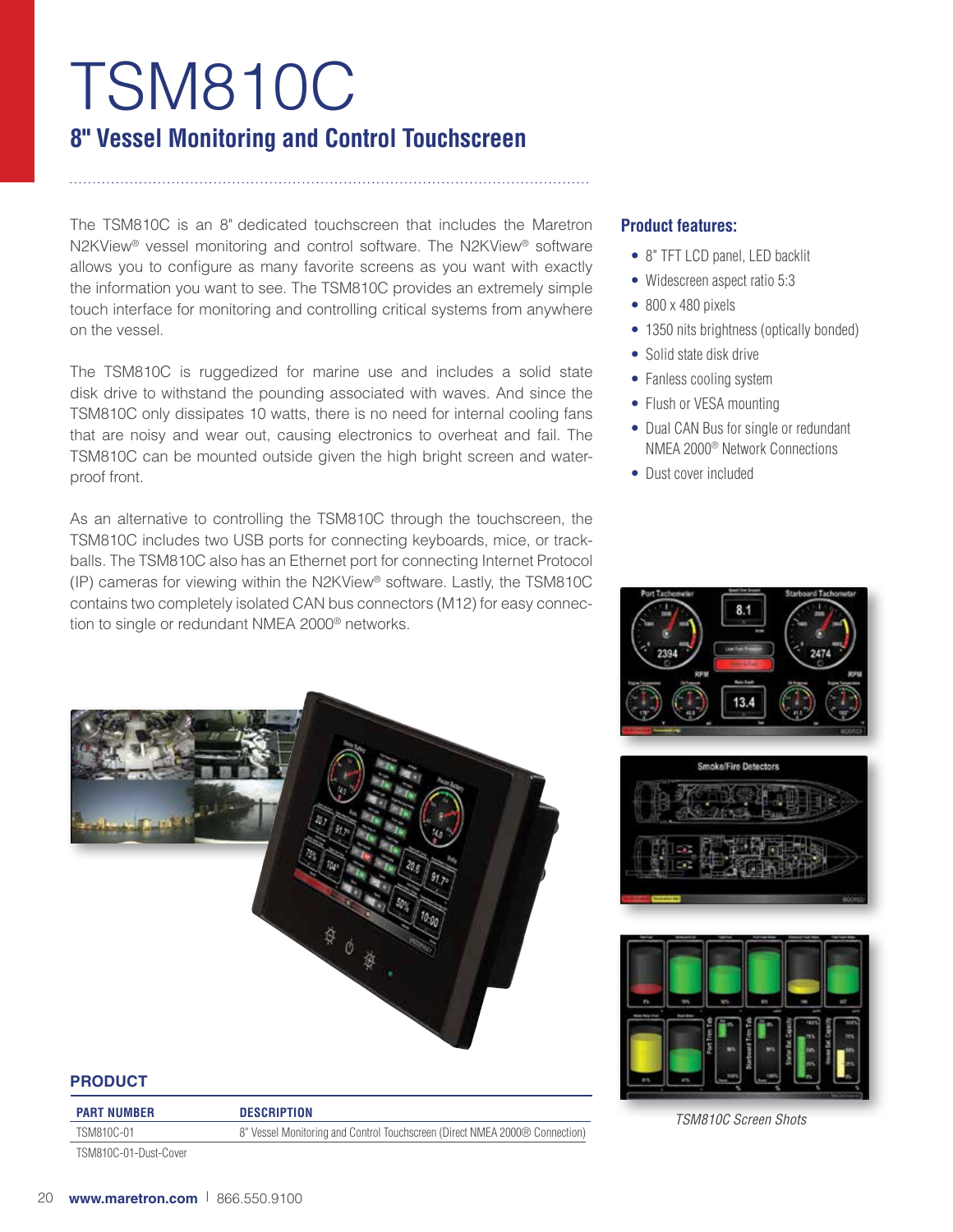# TSM810C **8" Vessel Monitoring and Control Touchscreen**

The TSM810C is an 8" dedicated touchscreen that includes the Maretron N2KView® vessel monitoring and control software. The N2KView® software allows you to configure as many favorite screens as you want with exactly the information you want to see. The TSM810C provides an extremely simple touch interface for monitoring and controlling critical systems from anywhere on the vessel.

The TSM810C is ruggedized for marine use and includes a solid state disk drive to withstand the pounding associated with waves. And since the TSM810C only dissipates 10 watts, there is no need for internal cooling fans that are noisy and wear out, causing electronics to overheat and fail. The TSM810C can be mounted outside given the high bright screen and waterproof front.

As an alternative to controlling the TSM810C through the touchscreen, the TSM810C includes two USB ports for connecting keyboards, mice, or trackballs. The TSM810C also has an Ethernet port for connecting Internet Protocol (IP) cameras for viewing within the N2KView® software. Lastly, the TSM810C contains two completely isolated CAN bus connectors (M12) for easy connection to single or redundant NMEA 2000® networks.

# **Product features:**

- 8" TFT LCD panel, LED backlit
- Widescreen aspect ratio 5:3
- 800 x 480 pixels
- 1350 nits brightness (optically bonded)
- Solid state disk drive
- Fanless cooling system
- Flush or VESA mounting
- Dual CAN Bus for single or redundant NMEA 2000® Network Connections
- Dust cover included



# Smoke/Fire Detectors



### *TSM810C Screen Shots*

TSM810C-01 8" Vessel Monitoring and Control Touchscreen (Direct NMEA 2000® Connection)

TSM810C-01-Dust-Cover